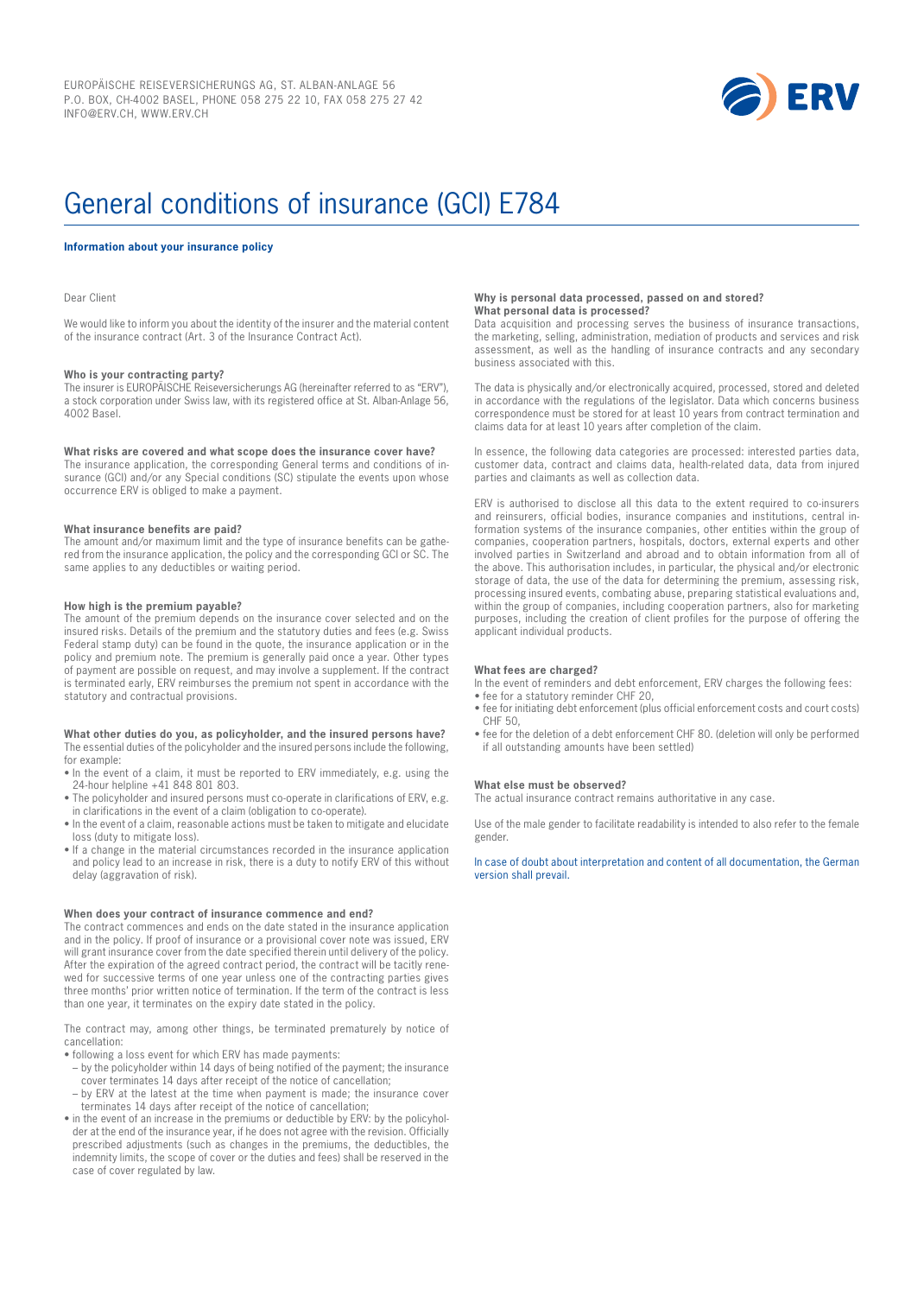

# General conditions of insurance (GCI) E784

#### **Information about your insurance policy**

Dear Client

We would like to inform you about the identity of the insurer and the material content of the insurance contract (Art. 3 of the Insurance Contract Act).

# **Who is your contracting party?**

The insurer is EUROPÄISCHE Reiseversicherungs AG (hereinafter referred to as "ERV"), a stock corporation under Swiss law, with its registered office at St. Alban-Anlage 56, 4002 Basel.

#### **What risks are covered and what scope does the insurance cover have?**

The insurance application, the corresponding General terms and conditions of insurance (GCI) and/or any Special conditions (SC) stipulate the events upon whose occurrence ERV is obliged to make a payment.

#### **What insurance benefits are paid?**

The amount and/or maximum limit and the type of insurance benefits can be gathered from the insurance application, the policy and the corresponding GCI or SC. The same applies to any deductibles or waiting period.

#### **How high is the premium payable?**

The amount of the premium depends on the insurance cover selected and on the insured risks. Details of the premium and the statutory duties and fees (e.g. Swiss Federal stamp duty) can be found in the quote, the insurance application or in the policy and premium note. The premium is generally paid once a year. Other types of payment are possible on request, and may involve a supplement. If the contract is terminated early, ERV reimburses the premium not spent in accordance with the statutory and contractual provisions.

#### **What other duties do you, as policyholder, and the insured persons have?** The essential duties of the policyholder and the insured persons include the following, for example:

- In the event of a claim, it must be reported to ERV immediately, e.g. using the 24-hour helpline +41 848 801 803.
- The policyholder and insured persons must co-operate in clarifications of ERV, e.g. in clarifications in the event of a claim (obligation to co-operate).
- In the event of a claim, reasonable actions must be taken to mitigate and elucidate loss (duty to mitigate loss).
- If a change in the material circumstances recorded in the insurance application and policy lead to an increase in risk, there is a duty to notify ERV of this without delay (aggravation of risk).

#### **When does your contract of insurance commence and end?**

The contract commences and ends on the date stated in the insurance application and in the policy. If proof of insurance or a provisional cover note was issued, ERV will grant insurance cover from the date specified therein until delivery of the policy. After the expiration of the agreed contract period, the contract will be tacitly renewed for successive terms of one year unless one of the contracting parties gives three months' prior written notice of termination. If the term of the contract is less than one year, it terminates on the expiry date stated in the policy.

The contract may, among other things, be terminated prematurely by notice of cancellation:

- following a loss event for which ERV has made payments:
- by the policyholder within 14 days of being notified of the payment; the insurance cover terminates 14 days after receipt of the notice of cancellation;
- by ERV at the latest at the time when payment is made; the insurance cover terminates 14 days after receipt of the notice of cancellation;
- in the event of an increase in the premiums or deductible by ERV: by the policyholder at the end of the insurance year, if he does not agree with the revision. Officially prescribed adjustments (such as changes in the premiums, the deductibles, the indemnity limits, the scope of cover or the duties and fees) shall be reserved in the case of cover regulated by law.

#### **Why is personal data processed, passed on and stored? What personal data is processed?**

Data acquisition and processing serves the business of insurance transactions, the marketing, selling, administration, mediation of products and services and risk assessment, as well as the handling of insurance contracts and any secondary business associated with this.

The data is physically and/or electronically acquired, processed, stored and deleted in accordance with the regulations of the legislator. Data which concerns business correspondence must be stored for at least 10 years from contract termination and claims data for at least 10 years after completion of the claim.

In essence, the following data categories are processed: interested parties data, customer data, contract and claims data, health-related data, data from injured parties and claimants as well as collection data.

ERV is authorised to disclose all this data to the extent required to co-insurers and reinsurers, official bodies, insurance companies and institutions, central information systems of the insurance companies, other entities within the group of companies, cooperation partners, hospitals, doctors, external experts and other involved parties in Switzerland and abroad and to obtain information from all of the above. This authorisation includes, in particular, the physical and/or electronic storage of data, the use of the data for determining the premium, assessing risk, processing insured events, combating abuse, preparing statistical evaluations and, within the group of companies, including cooperation partners, also for marketing purposes, including the creation of client profiles for the purpose of offering the applicant individual products.

#### **What fees are charged?**

In the event of reminders and debt enforcement, ERV charges the following fees: • fee for a statutory reminder CHF 20,

- fee for initiating debt enforcement (plus official enforcement costs and court costs) CHF 50,
- fee for the deletion of a debt enforcement CHF 80. (deletion will only be performed if all outstanding amounts have been settled)

#### **What else must be observed?**

The actual insurance contract remains authoritative in any case.

Use of the male gender to facilitate readability is intended to also refer to the female gender.

In case of doubt about interpretation and content of all documentation, the German version shall prevail.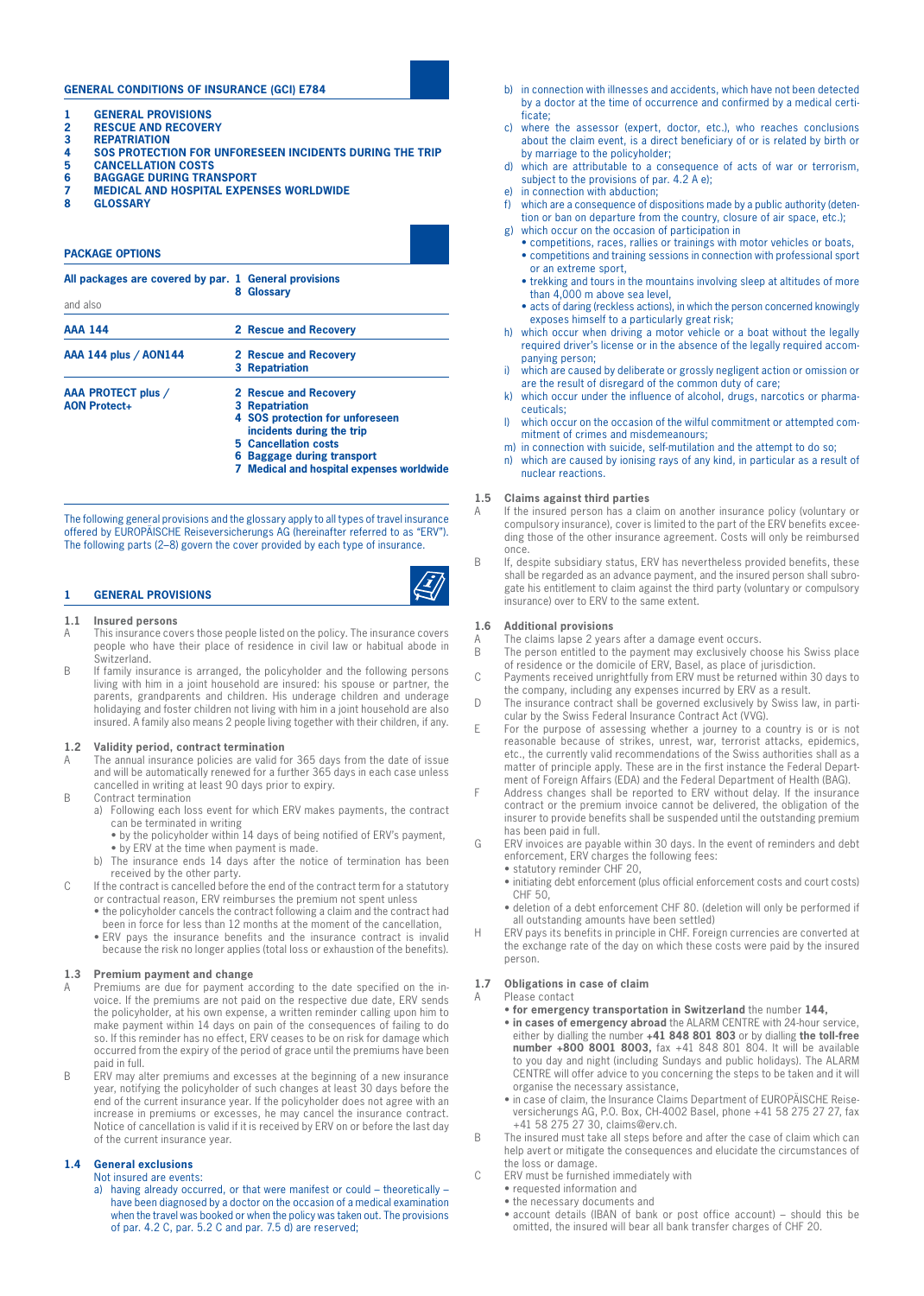# **GENERAL CONDITIONS OF INSURANCE (GCI) E784**

- **1 GENERAL PROVISIONS**
- **2 RESCUE AND RECOVERY**<br>**3 REPATRIATION**
- **3 REPATRIATION**
- **4 SOS PROTECTION FOR UNFORESEEN INCIDENTS DURING THE TRIP**
- **5 CANCELLATION COSTS**
- **6 BAGGAGE DURING TRANSPORT**
- **7 MEDICAL AND HOSPITAL EXPENSES WORLDWIDE**
- **8 GLOSSARY**

# **PACKAGE OPTIONS All packages are covered by par. 1 General provisions 8 Glossary** and also **AAA 144 2 Rescue and Recovery AAA 144 plus / AON144 2 Rescue and Recovery 3 Repatriation AAA PROTECT plus / 2 Rescue and Recovery AON Protect+ 3 Repatriation 4 SOS protection for unforeseen incidents during the trip 5 Cancellation costs 6 Baggage during transport 7 Medical and hospital expenses worldwide**

The following general provisions and the glossary apply to all types of travel insurance offered by EUROPÄISCHE Reiseversicherungs AG (hereinafter referred to as "ERV"). The following parts (2–8) govern the cover provided by each type of insurance.



#### **1.1 Insured persons**

- A This insurance covers those people listed on the policy. The insurance covers people who have their place of residence in civil law or habitual abode in Switzerland.
- B If family insurance is arranged, the policyholder and the following persons living with him in a joint household are insured: his spouse or partner, the parents, grandparents and children. His underage children and underage holidaying and foster children not living with him in a joint household are also insured. A family also means 2 people living together with their children, if any.

#### **1.2 Validity period, contract termination**

- A The annual insurance policies are valid for 365 days from the date of issue and will be automatically renewed for a further 365 days in each case unless cancelled in writing at least 90 days prior to expiry.
- B Contract termination
	- a) Following each loss event for which ERV makes payments, the contract can be terminated in writing
		- by the policyholder within 14 days of being notified of ERV's payment, • by ERV at the time when payment is made.
	- b) The insurance ends 14 days after the notice of termination has been received by the other party.
- C If the contract is cancelled before the end of the contract term for a statutory or contractual reason, ERV reimburses the premium not spent unless • the policyholder cancels the contract following a claim and the contract had
	- been in force for less than 12 months at the moment of the cancellation,
	- • ERV pays the insurance benefits and the insurance contract is invalid because the risk no longer applies (total loss or exhaustion of the benefits).

# **1.3 Premium payment and change**

- A Premiums are due for payment according to the date specified on the invoice. If the premiums are not paid on the respective due date, ERV sends the policyholder, at his own expense, a written reminder calling upon him to make payment within 14 days on pain of the consequences of failing to do so. If this reminder has no effect, ERV ceases to be on risk for damage which occurred from the expiry of the period of grace until the premiums have been paid in full.
- B ERV may alter premiums and excesses at the beginning of a new insurance year, notifying the policyholder of such changes at least 30 days before the end of the current insurance year. If the policyholder does not agree with an increase in premiums or excesses, he may cancel the insurance contract. Notice of cancellation is valid if it is received by ERV on or before the last day of the current insurance year.

# **1.4 General exclusions**

- Not insured are events:
	- a) having already occurred, or that were manifest or could theoretically have been diagnosed by a doctor on the occasion of a medical examination when the travel was booked or when the policy was taken out. The provisions of par. 4.2 C, par. 5.2 C and par. 7.5 d) are reserved;
- b) in connection with illnesses and accidents, which have not been detected by a doctor at the time of occurrence and confirmed by a medical certificate;
- c) where the assessor (expert, doctor, etc.), who reaches conclusions about the claim event, is a direct beneficiary of or is related by birth or by marriage to the policyholder;
- d) which are attributable to a consequence of acts of war or terrorism, subject to the provisions of par. 4.2 A e);
- e) in connection with abduction;
- f) which are a consequence of dispositions made by a public authority (detention or ban on departure from the country, closure of air space, etc.);
- g) which occur on the occasion of participation in
	- competitions, races, rallies or trainings with motor vehicles or boats, • competitions and training sessions in connection with professional sport or an extreme sport,
	- trekking and tours in the mountains involving sleep at altitudes of more than 4,000 m above sea level,
	- acts of daring (reckless actions), in which the person concerned knowingly exposes himself to a particularly great risk;
- h) which occur when driving a motor vehicle or a boat without the legally required driver's license or in the absence of the legally required accompanying person;
- i) which are caused by deliberate or grossly negligent action or omission or are the result of disregard of the common duty of care;
- k) which occur under the influence of alcohol, drugs, narcotics or pharmaceuticals;
- l) which occur on the occasion of the wilful commitment or attempted commitment of crimes and misdemeanours;
- m) in connection with suicide, self-mutilation and the attempt to do so;
- n) which are caused by ionising rays of any kind, in particular as a result of nuclear reactions.

#### **1.5 Claims against third parties**

- A If the insured person has a claim on another insurance policy (voluntary or compulsory insurance), cover is limited to the part of the ERV benefits exceeding those of the other insurance agreement. Costs will only be reimbursed once.
- B If, despite subsidiary status, ERV has nevertheless provided benefits, these shall be regarded as an advance payment, and the insured person shall subrogate his entitlement to claim against the third party (voluntary or compulsory insurance) over to ERV to the same extent.

#### **1.6 Additional provisions**

- A The claims lapse 2 years after a damage event occurs.<br>B The person entitled to the payment may exclusively che
- The person entitled to the payment may exclusively choose his Swiss place of residence or the domicile of ERV, Basel, as place of jurisdiction.
- C Payments received unrightfully from ERV must be returned within 30 days to the company, including any expenses incurred by ERV as a result.
- D The insurance contract shall be governed exclusively by Swiss law, in particular by the Swiss Federal Insurance Contract Act (VVG).
- E For the purpose of assessing whether a journey to a country is or is not reasonable because of strikes, unrest, war, terrorist attacks, epidemics, etc., the currently valid recommendations of the Swiss authorities shall as a matter of principle apply. These are in the first instance the Federal Department of Foreign Affairs (EDA) and the Federal Department of Health (BAG).
- F Address changes shall be reported to ERV without delay. If the insurance contract or the premium invoice cannot be delivered, the obligation of the insurer to provide benefits shall be suspended until the outstanding premium has been paid in full.
- G ERV invoices are payable within 30 days. In the event of reminders and debt enforcement, ERV charges the following fees:
	- statutory reminder CHF 20,
	- initiating debt enforcement (plus official enforcement costs and court costs) CHF 50,
	- deletion of a debt enforcement CHF 80. (deletion will only be performed if all outstanding amounts have been settled)
- H ERV pays its benefits in principle in CHF. Foreign currencies are converted at the exchange rate of the day on which these costs were paid by the insured person.

## **1.7 Obligations in case of claim**

- A Please contact • **for emergency transportation in Switzerland** the number **144,**
	- • **in cases of emergency abroad** the ALARM CENTRE with 24-hour service, either by dialling the number **+41 848 801 803** or by dialling **the toll-free number +800 8001 8003,** fax +41 848 801 804. It will be available to you day and night (including Sundays and public holidays). The ALARM CENTRE will offer advice to you concerning the steps to be taken and it will organise the necessary assistance,
	- in case of claim, the Insurance Claims Department of EUROPÄISCHE Reiseversicherungs AG, P.O. Box, CH-4002 Basel, phone +41 58 275 27 27, fax +41 58 275 27 30, claims@erv.ch.
- B The insured must take all steps before and after the case of claim which can help avert or mitigate the consequences and elucidate the circumstances of the loss or damage.
- C ERV must be furnished immediately with
	- • requested information and
	- the necessary documents and
	- account details (IBAN of bank or post office account) should this be omitted, the insured will bear all bank transfer charges of CHF 20.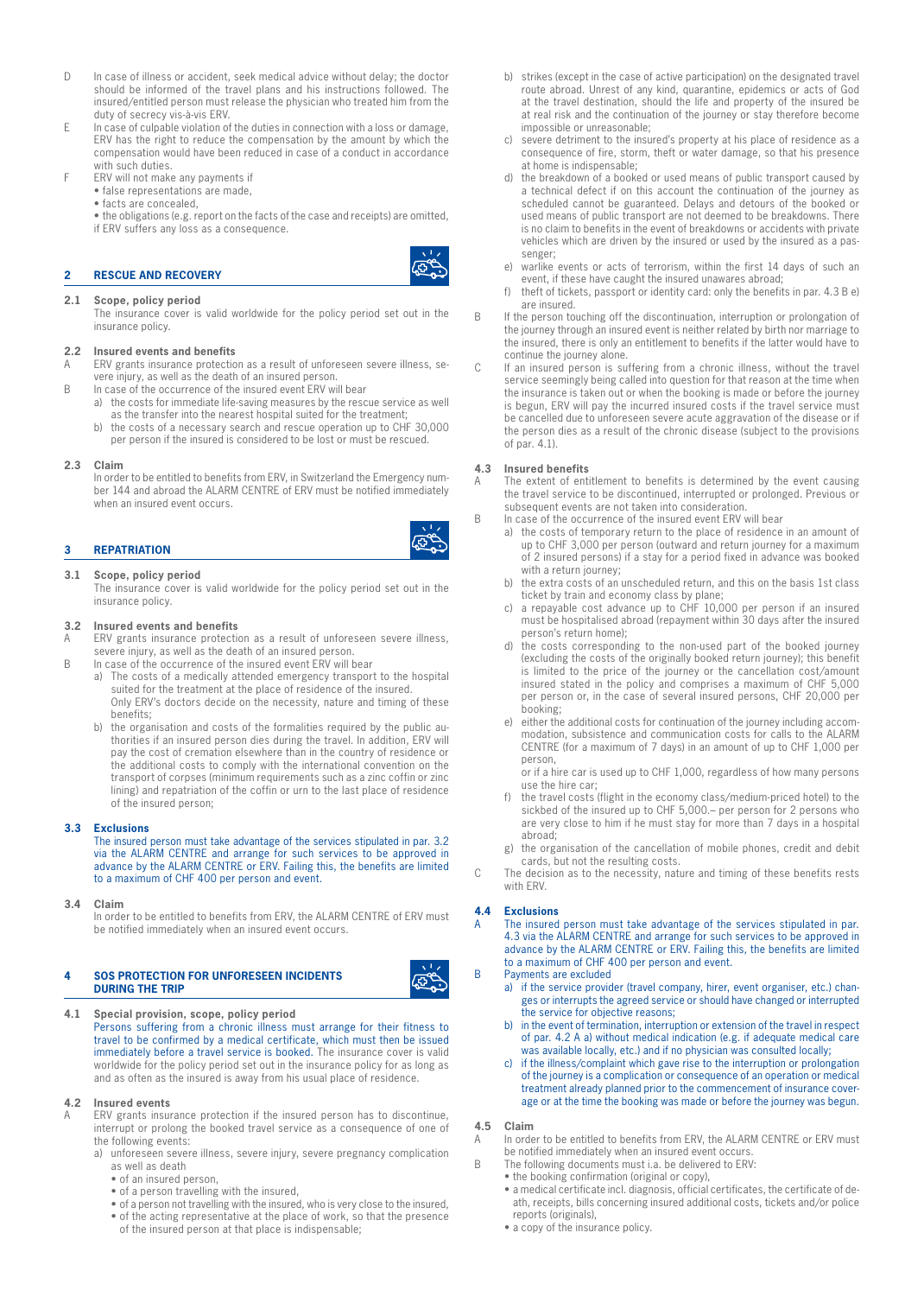- D In case of illness or accident, seek medical advice without delay; the doctor should be informed of the travel plans and his instructions followed. The insured/entitled person must release the physician who treated him from the duty of secrecy vis-à-vis ERV.
- E In case of culpable violation of the duties in connection with a loss or damage, ERV has the right to reduce the compensation by the amount by which the compensation would have been reduced in case of a conduct in accordance with such duties.
- F ERV will not make any payments if
	- false representations are made,
	- facts are concealed,

• the obligations (e.g. report on the facts of the case and receipts) are omitted, if ERV suffers any loss as a consequence.

# **2 RESCUE AND RECOVERY**

# **2.1 Scope, policy period**

The insurance cover is valid worldwide for the policy period set out in the insurance policy.

#### **2.2 Insured events and benefits**

A ERV grants insurance protection as a result of unforeseen severe illness, severe injury, as well as the death of an insured person.

- B In case of the occurrence of the insured event ERV will bear a) the costs for immediate life-saving measures by the rescue service as well
	- as the transfer into the nearest hospital suited for the treatment; b) the costs of a necessary search and rescue operation up to CHF 30,000
		- per person if the insured is considered to be lost or must be rescued.

#### **2.3 Claim**

In order to be entitled to benefits from ERV, in Switzerland the Emergency number 144 and abroad the ALARM CENTRE of ERV must be notified immediately when an insured event occurs.

# **3 REPATRIATION**

#### **3.1 Scope, policy period**

The insurance cover is valid worldwide for the policy period set out in the insurance policy.

# **3.2 Insured events and benefits**

ERV grants insurance protection as a result of unforeseen severe illness, severe injury, as well as the death of an insured person.

- B In case of the occurrence of the insured event ERV will bear
	- a) The costs of a medically attended emergency transport to the hospital suited for the treatment at the place of residence of the insured. Only ERV's doctors decide on the necessity, nature and timing of these benefits;
	- b) the organisation and costs of the formalities required by the public authorities if an insured person dies during the travel. In addition, ERV will pay the cost of cremation elsewhere than in the country of residence or the additional costs to comply with the international convention on the transport of corpses (minimum requirements such as a zinc coffin or zinc lining) and repatriation of the coffin or urn to the last place of residence of the insured person;

#### **3.3 Exclusions**

The insured person must take advantage of the services stipulated in par. 3.2 via the ALARM CENTRE and arrange for such services to be approved in advance by the ALARM CENTRE or ERV. Failing this, the benefits are limited to a maximum of CHF 400 per person and event.

**3.4 Claim**

In order to be entitled to benefits from ERV, the ALARM CENTRE of ERV must be notified immediately when an insured event occurs.

# **4 SOS PROTECTION FOR UNFORESEEN INCIDENTS DURING THE TRIP**

**4.1 Special provision, scope, policy period** Persons suffering from a chronic illness must arrange for their fitness to travel to be confirmed by a medical certificate, which must then be issued immediately before a travel service is booked. The insurance cover is valid worldwide for the policy period set out in the insurance policy for as long as and as often as the insured is away from his usual place of residence.

#### **4.2 Insured events**

A ERV grants insurance protection if the insured person has to discontinue, interrupt or prolong the booked travel service as a consequence of one of the following events:

- a) unforeseen severe illness, severe injury, severe pregnancy complication as well as death
	- • of an insured person,
	- • of a person travelling with the insured,
	- of a person not travelling with the insured, who is very close to the insured, • of the acting representative at the place of work, so that the presence
	- of the insured person at that place is indispensable;
- b) strikes (except in the case of active participation) on the designated travel route abroad. Unrest of any kind, quarantine, epidemics or acts of God at the travel destination, should the life and property of the insured be at real risk and the continuation of the journey or stay therefore become impossible or unreasonable;
- c) severe detriment to the insured's property at his place of residence as a consequence of fire, storm, theft or water damage, so that his presence at home is indispensable;
- d) the breakdown of a booked or used means of public transport caused by a technical defect if on this account the continuation of the journey as scheduled cannot be guaranteed. Delays and detours of the booked or used means of public transport are not deemed to be breakdowns. There is no claim to benefits in the event of breakdowns or accidents with private vehicles which are driven by the insured or used by the insured as a passenger;
- e) warlike events or acts of terrorism, within the first 14 days of such an event, if these have caught the insured unawares abroad;
- f) theft of tickets, passport or identity card: only the benefits in par. 4.3 B e) are insured.
- B If the person touching off the discontinuation, interruption or prolongation of the journey through an insured event is neither related by birth nor marriage to the insured, there is only an entitlement to benefits if the latter would have to continue the journey alone.
- If an insured person is suffering from a chronic illness, without the travel service seemingly being called into question for that reason at the time when the insurance is taken out or when the booking is made or before the journey is begun, ERV will pay the incurred insured costs if the travel service must be cancelled due to unforeseen severe acute aggravation of the disease or if the person dies as a result of the chronic disease (subject to the provisions of par. 4.1).

#### **4.3 Insured benefits**

- The extent of entitlement to benefits is determined by the event causing the travel service to be discontinued, interrupted or prolonged. Previous or subsequent events are not taken into consideration.
- B In case of the occurrence of the insured event ERV will bear
	- a) the costs of temporary return to the place of residence in an amount of up to CHF 3,000 per person (outward and return journey for a maximum of 2 insured persons) if a stay for a period fixed in advance was booked with a return journey;
	- b) the extra costs of an unscheduled return, and this on the basis 1st class ticket by train and economy class by plane;
	- c) a repayable cost advance up to CHF 10,000 per person if an insured must be hospitalised abroad (repayment within 30 days after the insured person's return home);
	- d) the costs corresponding to the non-used part of the booked journey (excluding the costs of the originally booked return journey); this benefit is limited to the price of the journey or the cancellation cost/amount insured stated in the policy and comprises a maximum of CHF 5,000 per person or, in the case of several insured persons, CHF 20,000 per booking;
	- e) either the additional costs for continuation of the journey including accommodation, subsistence and communication costs for calls to the ALARM CENTRE (for a maximum of 7 days) in an amount of up to CHF 1,000 per person,

or if a hire car is used up to CHF 1,000, regardless of how many persons use the hire car;

- f) the travel costs (flight in the economy class/medium-priced hotel) to the sickbed of the insured up to CHF 5,000.– per person for 2 persons who are very close to him if he must stay for more than 7 days in a hospital abroad;
- g) the organisation of the cancellation of mobile phones, credit and debit cards, but not the resulting costs.

C The decision as to the necessity, nature and timing of these benefits rests with FRV

#### **4.4 Exclusions**

A The insured person must take advantage of the services stipulated in par. 4.3 via the ALARM CENTRE and arrange for such services to be approved in advance by the ALARM CENTRE or ERV. Failing this, the benefits are limited to a maximum of CHF 400 per person and event.

- B Payments are excluded
	- a) if the service provider (travel company, hirer, event organiser, etc.) changes or interrupts the agreed service or should have changed or interrupted the service for objective reasons;
	- b) in the event of termination, interruption or extension of the travel in respect of par. 4.2 A a) without medical indication (e.g. if adequate medical care was available locally, etc.) and if no physician was consulted locally;
	- c) if the illness/complaint which gave rise to the interruption or prolongation of the journey is a complication or consequence of an operation or medical treatment already planned prior to the commencement of insurance coverage or at the time the booking was made or before the journey was begun.

#### **4.5 Claim**

A In order to be entitled to benefits from ERV, the ALARM CENTRE or ERV must be notified immediately when an insured event occurs.

- B The following documents must i.a. be delivered to ERV:
	- the booking confirmation (original or copy),
		- • a medical certificate incl. diagnosis, official certificates, the certificate of death, receipts, bills concerning insured additional costs, tickets and/or police reports (originals),
		- a copy of the insurance policy.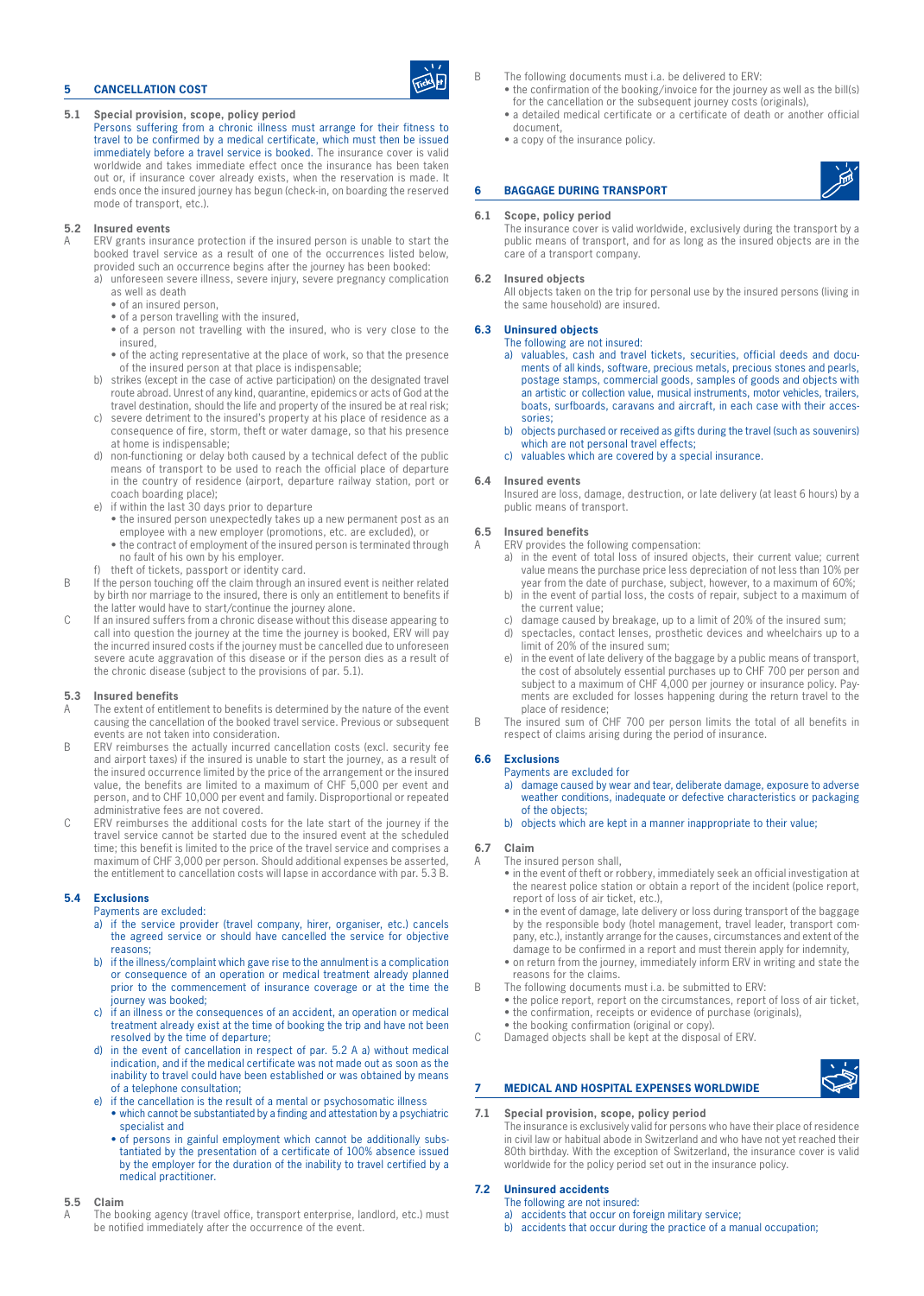# **5 CANCELLATION COST**

- **5.1 Special provision, scope, policy period**
	- Persons suffering from a chronic illness must arrange for their fitness to travel to be confirmed by a medical certificate, which must then be issued immediately before a travel service is booked. The insurance cover is valid worldwide and takes immediate effect once the insurance has been taken out or, if insurance cover already exists, when the reservation is made. It ends once the insured journey has begun (check-in, on boarding the reserved mode of transport, etc.).

#### **5.2 Insured events**

- ERV grants insurance protection if the insured person is unable to start the booked travel service as a result of one of the occurrences listed below, provided such an occurrence begins after the journey has been booked:
	- a) unforeseen severe illness, severe injury, severe pregnancy complication as well as death
		- • of an insured person,
		- • of a person travelling with the insured,
		- of a person not travelling with the insured, who is very close to the insured,
		- of the acting representative at the place of work, so that the presence of the insured person at that place is indispensable;
	- b) strikes (except in the case of active participation) on the designated travel route abroad. Unrest of any kind, quarantine, epidemics or acts of God at the travel destination, should the life and property of the insured be at real risk;
	- c) severe detriment to the insured's property at his place of residence as a consequence of fire, storm, theft or water damage, so that his presence at home is indispensable;
	- d) non-functioning or delay both caused by a technical defect of the public means of transport to be used to reach the official place of departure in the country of residence (airport, departure railway station, port or coach boarding place);
	- e) if within the last 30 days prior to departure
		- the insured person unexpectedly takes up a new permanent post as an employee with a new employer (promotions, etc. are excluded), or • the contract of employment of the insured person is terminated through
	- no fault of his own by his employer.
- theft of tickets, passport or identity card.
- B If the person touching off the claim through an insured event is neither related by birth nor marriage to the insured, there is only an entitlement to benefits if the latter would have to start/continue the journey alone.
- C If an insured suffers from a chronic disease without this disease appearing to call into question the journey at the time the journey is booked, ERV will pay the incurred insured costs if the journey must be cancelled due to unforeseen severe acute aggravation of this disease or if the person dies as a result of the chronic disease (subject to the provisions of par. 5.1).

### **5.3 Insured benefits**

- A The extent of entitlement to benefits is determined by the nature of the event causing the cancellation of the booked travel service. Previous or subsequent events are not taken into consideration.
- B ERV reimburses the actually incurred cancellation costs (excl. security fee and airport taxes) if the insured is unable to start the journey, as a result of the insured occurrence limited by the price of the arrangement or the insured value, the benefits are limited to a maximum of CHF 5,000 per event and person, and to CHF 10,000 per event and family. Disproportional or repeated administrative fees are not covered.
- C ERV reimburses the additional costs for the late start of the journey if the travel service cannot be started due to the insured event at the scheduled time; this benefit is limited to the price of the travel service and comprises a maximum of CHF 3,000 per person. Should additional expenses be asserted, the entitlement to cancellation costs will lapse in accordance with par. 5.3 B.

#### **5.4 Exclusions**

- Payments are excluded:
- a) if the service provider (travel company, hirer, organiser, etc.) cancels the agreed service or should have cancelled the service for objective reasons;
- b) if the illness/complaint which gave rise to the annulment is a complication or consequence of an operation or medical treatment already planned prior to the commencement of insurance coverage or at the time the journey was booked;
- c) if an illness or the consequences of an accident, an operation or medical treatment already exist at the time of booking the trip and have not been resolved by the time of departure;
- d) in the event of cancellation in respect of par. 5.2 A a) without medical indication, and if the medical certificate was not made out as soon as the inability to travel could have been established or was obtained by means of a telephone consultation;
- e) if the cancellation is the result of a mental or psychosomatic illness
	- which cannot be substantiated by a finding and attestation by a psychiatric specialist and
	- of persons in gainful employment which cannot be additionally substantiated by the presentation of a certificate of 100% absence issued by the employer for the duration of the inability to travel certified by a medical practitioner.

#### **5.5 Claim**

The booking agency (travel office, transport enterprise, landlord, etc.) must be notified immediately after the occurrence of the event.

- B The following documents must i.a. be delivered to ERV:
	- the confirmation of the booking/invoice for the journey as well as the bill(s) for the cancellation or the subsequent journey costs (originals),
	- a detailed medical certificate or a certificate of death or another official document,
	- a copy of the insurance policy.

# **6 BAGGAGE DURING TRANSPORT**

#### **6.1 Scope, policy period**

The insurance cover is valid worldwide, exclusively during the transport by a public means of transport, and for as long as the insured objects are in the care of a transport company.

#### **6.2 Insured objects**

All objects taken on the trip for personal use by the insured persons (living in the same household) are insured.

#### **6.3 Uninsured objects**

# The following are not insured:

- a) valuables, cash and travel tickets, securities, official deeds and documents of all kinds, software, precious metals, precious stones and pearls, postage stamps, commercial goods, samples of goods and objects with an artistic or collection value, musical instruments, motor vehicles, trailers, boats, surfboards, caravans and aircraft, in each case with their accessories;
- b) objects purchased or received as gifts during the travel (such as souvenirs) which are not personal travel effects;
- c) valuables which are covered by a special insurance.

#### **6.4 Insured events**

Insured are loss, damage, destruction, or late delivery (at least 6 hours) by a public means of transport.

# **6.5 Insured benefits**

- A ERV provides the following compensation:
	- a) in the event of total loss of insured objects, their current value; current value means the purchase price less depreciation of not less than 10% per year from the date of purchase, subject, however, to a maximum of 60%;
	- in the event of partial loss, the costs of repair, subject to a maximum of the current value;
	- c) damage caused by breakage, up to a limit of 20% of the insured sum;
	- d) spectacles, contact lenses, prosthetic devices and wheelchairs up to a limit of 20% of the insured sum;
	- e) in the event of late delivery of the baggage by a public means of transport, the cost of absolutely essential purchases up to CHF 700 per person and subject to a maximum of CHF 4,000 per journey or insurance policy. Payments are excluded for losses happening during the return travel to the place of residence;
- B The insured sum of CHF 700 per person limits the total of all benefits in respect of claims arising during the period of insurance.

#### **6.6 Exclusions**

# Payments are excluded for

- a) damage caused by wear and tear, deliberate damage, exposure to adverse weather conditions, inadequate or defective characteristics or packaging of the objects;
- b) objects which are kept in a manner inappropriate to their value;

#### **6.7 Claim**

- The insured person shall.
	- in the event of theft or robbery, immediately seek an official investigation at the nearest police station or obtain a report of the incident (police report, report of loss of air ticket, etc.),
	- in the event of damage, late delivery or loss during transport of the baggage by the responsible body (hotel management, travel leader, transport company, etc.), instantly arrange for the causes, circumstances and extent of the damage to be confirmed in a report and must therein apply for indemnity,
	- on return from the journey, immediately inform ERV in writing and state the reasons for the claims.
- B The following documents must i.a. be submitted to ERV:
	- the police report, report on the circumstances, report of loss of air ticket, • the confirmation, receipts or evidence of purchase (originals),
	- the booking confirmation (original or copy).
- C Damaged objects shall be kept at the disposal of ERV.



# **7 MEDICAL AND HOSPITAL EXPENSES WORLDWIDE**

**7.1 Special provision, scope, policy period** The insurance is exclusively valid for persons who have their place of residence in civil law or habitual abode in Switzerland and who have not yet reached their 80th birthday. With the exception of Switzerland, the insurance cover is valid worldwide for the policy period set out in the insurance policy.

# **7.2 Uninsured accidents**

- The following are not insured:
- a) accidents that occur on foreign military service;
- b) accidents that occur during the practice of a manual occupation;